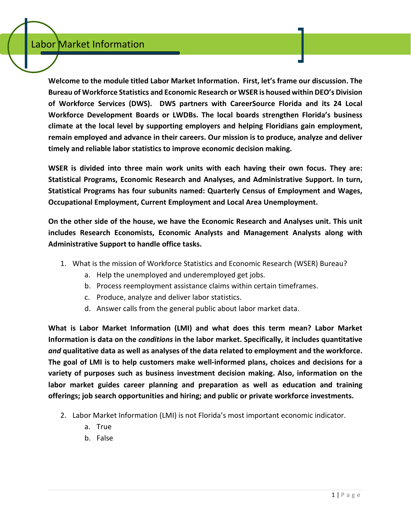**Welcome to the module titled Labor Market Information. First, let's frame our discussion. The Bureau of Workforce Statistics and Economic Research or WSER is housed within DEO's Division of Workforce Services (DWS). DWS partners with CareerSource Florida and its 24 Local Workforce Development Boards or LWDBs. The local boards strengthen Florida's business climate at the local level by supporting employers and helping Floridians gain employment, remain employed and advance in their careers. Our mission is to produce, analyze and deliver timely and reliable labor statistics to improve economic decision making.**

**WSER is divided into three main work units with each having their own focus. They are: Statistical Programs, Economic Research and Analyses, and Administrative Support. In turn, Statistical Programs has four subunits named: Quarterly Census of Employment and Wages, Occupational Employment, Current Employment and Local Area Unemployment.** 

**On the other side of the house, we have the Economic Research and Analyses unit. This unit includes Research Economists, Economic Analysts and Management Analysts along with Administrative Support to handle office tasks.**

- 1. What is the mission of Workforce Statistics and Economic Research (WSER) Bureau?
	- a. Help the unemployed and underemployed get jobs.
	- b. Process reemployment assistance claims within certain timeframes.
	- c. Produce, analyze and deliver labor statistics.
	- d. Answer calls from the general public about labor market data.

**What is Labor Market Information (LMI) and what does this term mean? Labor Market Information is data on the** *conditions* **in the labor market. Specifically, it includes quantitative** *and* **qualitative data as well as analyses of the data related to employment and the workforce. The goal of LMI is to help customers make well-informed plans, choices and decisions for a variety of purposes such as business investment decision making. Also, information on the labor market guides career planning and preparation as well as education and training offerings; job search opportunities and hiring; and public or private workforce investments.**

- 2. Labor Market Information (LMI) is not Florida's most important economic indicator.
	- a. True
	- b. False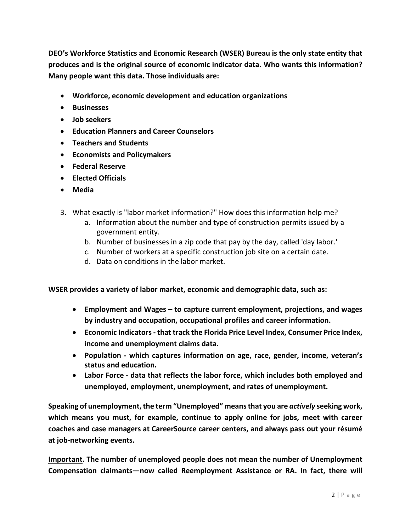**DEO's Workforce Statistics and Economic Research (WSER) Bureau is the only state entity that produces and is the original source of economic indicator data. Who wants this information? Many people want this data. Those individuals are:**

- **Workforce, economic development and education organizations**
- **Businesses**
- **Job seekers**
- **Education Planners and Career Counselors**
- **Teachers and Students**
- **Economists and Policymakers**
- **Federal Reserve**
- **Elected Officials**
- **Media**
- 3. What exactly is "labor market information?" How does this information help me?
	- a. Information about the number and type of construction permits issued by a government entity.
	- b. Number of businesses in a zip code that pay by the day, called 'day labor.'
	- c. Number of workers at a specific construction job site on a certain date.
	- d. Data on conditions in the labor market.

**WSER provides a variety of labor market, economic and demographic data, such as:**

- **Employment and Wages – to capture current employment, projections, and wages by industry and occupation, occupational profiles and career information.**
- **Economic Indicators - that track the Florida Price Level Index, Consumer Price Index, income and unemployment claims data.**
- **Population - which captures information on age, race, gender, income, veteran's status and education.**
- **Labor Force - data that reflects the labor force, which includes both employed and unemployed, employment, unemployment, and rates of unemployment.**

**Speaking of unemployment, the term "Unemployed" means that you are** *actively* **seeking work, which means you must, for example, continue to apply online for jobs, meet with career coaches and case managers at CareerSource career centers, and always pass out your résumé at job-networking events.**

**Important. The number of unemployed people does not mean the number of Unemployment Compensation claimants—now called Reemployment Assistance or RA. In fact, there will**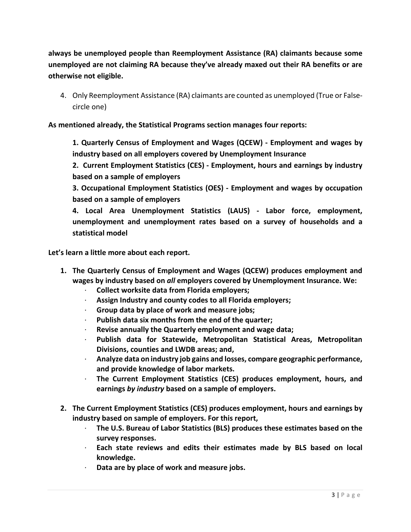**always be unemployed people than Reemployment Assistance (RA) claimants because some unemployed are not claiming RA because they've already maxed out their RA benefits or are otherwise not eligible.**

4. Only Reemployment Assistance (RA) claimants are counted as unemployed (True or Falsecircle one)

**As mentioned already, the Statistical Programs section manages four reports:**

**1. Quarterly Census of Employment and Wages (QCEW) - Employment and wages by industry based on all employers covered by Unemployment Insurance**

**2. Current Employment Statistics (CES) - Employment, hours and earnings by industry based on a sample of employers**

**3. Occupational Employment Statistics (OES) - Employment and wages by occupation based on a sample of employers**

**4. Local Area Unemployment Statistics (LAUS) - Labor force, employment, unemployment and unemployment rates based on a survey of households and a statistical model**

**Let's learn a little more about each report.** 

- **1. The Quarterly Census of Employment and Wages (QCEW) produces employment and wages by industry based on** *all* **employers covered by Unemployment Insurance. We:** 
	- · **Collect worksite data from Florida employers;**
	- · **Assign Industry and county codes to all Florida employers;**
	- · **Group data by place of work and measure jobs;**
	- · **Publish data six months from the end of the quarter;**
	- · **Revise annually the Quarterly employment and wage data;**
	- · **Publish data for Statewide, Metropolitan Statistical Areas, Metropolitan Divisions, counties and LWDB areas; and,**
	- · **Analyze data on industry job gains and losses, compare geographic performance, and provide knowledge of labor markets.**
	- · **The Current Employment Statistics (CES) produces employment, hours, and earnings** *by industry* **based on a sample of employers.**
- **2. The Current Employment Statistics (CES) produces employment, hours and earnings by industry based on sample of employers. For this report,** 
	- · **The U.S. Bureau of Labor Statistics (BLS) produces these estimates based on the survey responses.**
	- · **Each state reviews and edits their estimates made by BLS based on local knowledge.**
	- · **Data are by place of work and measure jobs.**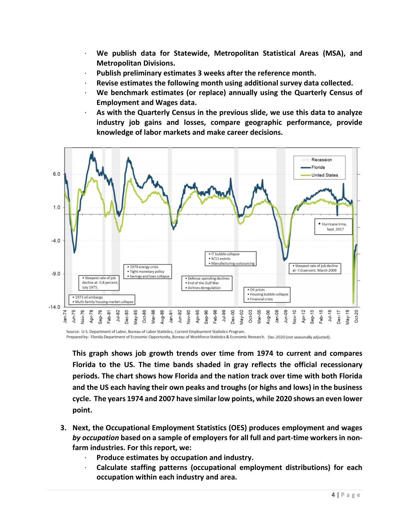- · **We publish data for Statewide, Metropolitan Statistical Areas (MSA), and Metropolitan Divisions.**
- Publish preliminary estimates 3 weeks after the reference month.
- · **Revise estimates the following month using additional survey data collected.**
- · **We benchmark estimates (or replace) annually using the Quarterly Census of Employment and Wages data.**
- · **As with the Quarterly Census in the previous slide, we use this data to analyze industry job gains and losses, compare geographic performance, provide knowledge of labor markets and make career decisions.**



Source: U.S. Department of Labor, Bureau of Labor Statistics, Current Employment Statistics Program. Prepared by: Florida Department of Economic Opportunity, Bureau of Workforce Statistics & Economic Research. Dec-2020 (not seasonally adjusted).

**This graph shows job growth trends over time from 1974 to current and compares Florida to the US. The time bands shaded in gray reflects the official recessionary periods. The chart shows how Florida and the nation track over time with both Florida and the US each having their own peaks and troughs (or highs and lows) in the business cycle. The years 1974 and 2007 have similar low points, while 2020 shows an even lower point.**

- **3. Next, the Occupational Employment Statistics (OES) produces employment and wages**  *by occupation* **based on a sample of employers for all full and part-time workers in nonfarm industries. For this report, we:**
	- · **Produce estimates by occupation and industry.**
	- · **Calculate staffing patterns (occupational employment distributions) for each occupation within each industry and area.**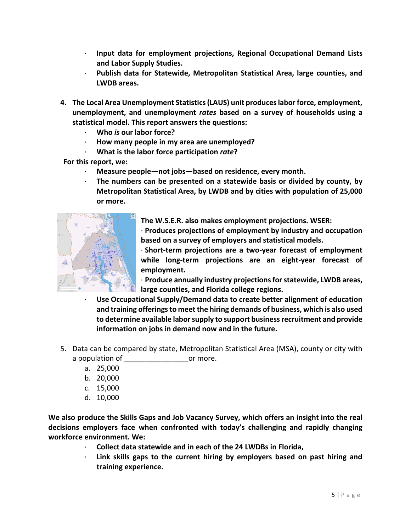- · **Input data for employment projections, Regional Occupational Demand Lists and Labor Supply Studies.**
- · **Publish data for Statewide, Metropolitan Statistical Area, large counties, and LWDB areas.**
- **4. The Local Area Unemployment Statistics (LAUS) unit produces labor force, employment, unemployment, and unemployment** *rates* **based on a survey of households using a statistical model. This report answers the questions:**
	- · **Who** *is* **our labor force?**
	- · **How many people in my area are unemployed?**
	- · **What is the labor force participation** *rate***?**

**For this report, we:** 

- Measure people—not jobs—based on residence, every month.
- · **The numbers can be presented on a statewide basis or divided by county, by Metropolitan Statistical Area, by LWDB and by cities with population of 25,000 or more.**



**The W.S.E.R. also makes employment projections. WSER:**

· **Produces projections of employment by industry and occupation based on a survey of employers and statistical models.**

· **Short-term projections are a two-year forecast of employment while long-term projections are an eight-year forecast of employment.**

· **Produce annually industry projections for statewide, LWDB areas, large counties, and Florida college regions.**

- · **Use Occupational Supply/Demand data to create better alignment of education and training offerings to meet the hiring demands of business, which is also used to determine available labor supply to support business recruitment and provide information on jobs in demand now and in the future.**
- 5. Data can be compared by state, Metropolitan Statistical Area (MSA), county or city with a population of each or more.
	- a. 25,000
	- b. 20,000
	- c. 15,000
	- d. 10,000

**We also produce the Skills Gaps and Job Vacancy Survey, which offers an insight into the real decisions employers face when confronted with today's challenging and rapidly changing workforce environment. We:**

- · **Collect data statewide and in each of the 24 LWDBs in Florida,**
- Link skills gaps to the current hiring by employers based on past hiring and **training experience.**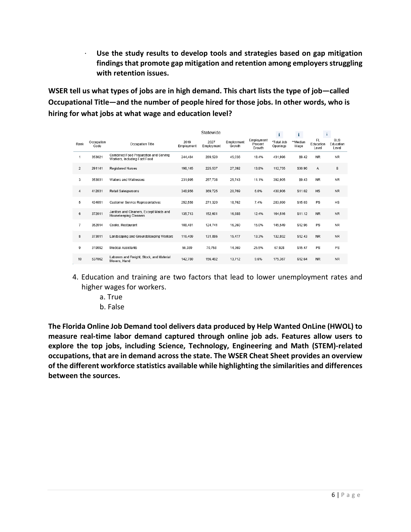· **Use the study results to develop tools and strategies based on gap mitigation findings that promote gap mitigation and retention among employers struggling with retention issues.** 

**WSER tell us what types of jobs are in high demand. This chart lists the type of job—called Occupational Title—and the number of people hired for those jobs. In other words, who is hiring for what jobs at what wage and education level?**

|                |                    |                                                                       | Statewide          |                    |                      | $\mathbf{i}$                    | i.                     | $\mathbf{i}$     |                          |                                  |
|----------------|--------------------|-----------------------------------------------------------------------|--------------------|--------------------|----------------------|---------------------------------|------------------------|------------------|--------------------------|----------------------------------|
| Rank           | Occupation<br>Code | Occupation Title                                                      | 2019<br>Employment | 2027<br>Employment | Employment<br>Growth | Employment<br>Percent<br>Growth | *Total Job<br>Openings | **Median<br>Wage | FL<br>Education<br>Level | <b>BLS</b><br>Education<br>Level |
| 1              | 353021             | Combined Food Preparation and Serving<br>Workers, Including Fast Food | 244.484            | 289,520            | 45,036               | 18.4%                           | 431.996                | \$9.42           | NR                       | <b>NR</b>                        |
| $\overline{2}$ | 291141             | <b>Registered Nurses</b>                                              | 198.145            | 225,537            | 27,392               | 13.8%                           | 112,755                | \$30.96          | A                        | в                                |
| 3              | 353031             | Waiters and Waitresses                                                | 231.995            | 257.738            | 25.743               | 11.1%                           | 392.905                | \$9.43           | NR.                      | <b>NR</b>                        |
| 4              | 412031             | <b>Retail Salespersons</b>                                            | 348,956            | 369.725            | 20.769               | 6.0%                            | 430.906                | \$11.02          | HS                       | <b>NR</b>                        |
| 5              | 434051             | <b>Customer Service Representatives</b>                               | 252,558            | 271.320            | 18.762               | 7.4%                            | 283.090                | \$15.03          | PS                       | HS                               |
| $6\phantom{1}$ | 372011             | Janitors and Cleaners, Except Maids and<br>Housekeeping Cleaners      | 135,713            | 152.601            | 16,888               | 12.4%                           | 164.516                | \$11.12          | <b>NR</b>                | <b>NR</b>                        |
| $\overline{7}$ | 352014             | Cooks, Restaurant                                                     | 108,481            | 124.741            | 16.260               | 15.0%                           | 145.549                | \$12.96          | PS                       | <b>NR</b>                        |
| 8              | 373011             | Landscaping and Groundskeeping Workers                                | 116,409            | 131.886            | 15.477               | 13.3%                           | 132.802                | \$12.43          | <b>NR</b>                | <b>NR</b>                        |
| 9              | 319092             | <b>Medical Assistants</b>                                             | 56.389             | 70.758             | 14.369               | 25.5%                           | 67.928                 | \$15.47          | PS                       | PS                               |
| 10             | 537062             | Laborers and Freight, Stock, and Material<br>Movers, Hand             | 142.780            | 156.492            | 13.712               | 9.6%                            | 175,367                | \$12.64          | <b>NR</b>                | <b>NR</b>                        |

- 4. Education and training are two factors that lead to lower unemployment rates and higher wages for workers.
	- a. True
	- b. False

**The Florida Online Job Demand tool delivers data produced by Help Wanted OnLine (HWOL) to measure real-time labor demand captured through online job ads. Features allow users to explore the top jobs, including Science, Technology, Engineering and Math (STEM)-related occupations, that are in demand across the state. The WSER Cheat Sheet provides an overview of the different workforce statistics available while highlighting the similarities and differences between the sources.**